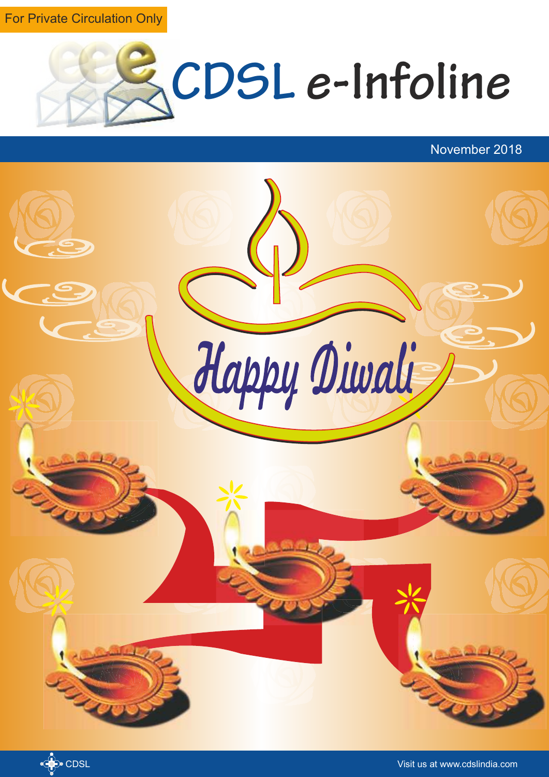For Private Circulation Only



November 2018



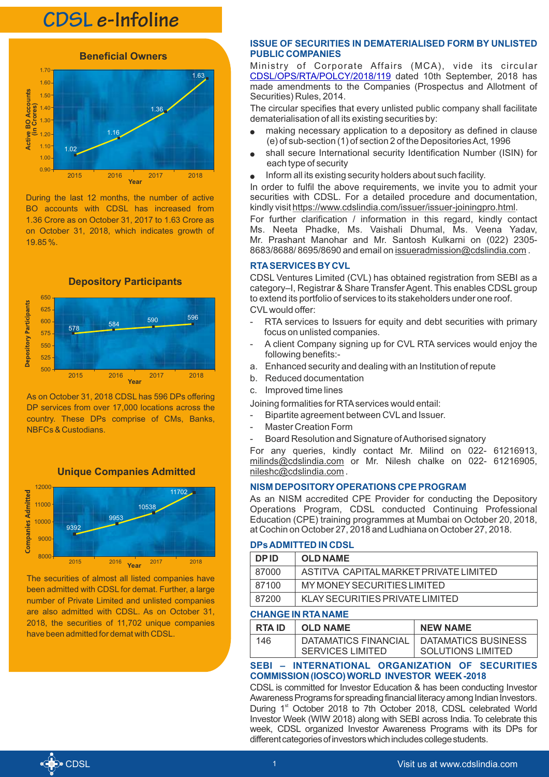## **CDSL e-Infoline**



During the last 12 months, the number of active BO accounts with CDSL has increased from 1.36 Crore as on October 31, 2017 to 1.63 Crore as on October 31, 2018, which indicates growth of 19.85 %.



As on October 31, 2018 CDSL has 596 DPs offering DP services from over 17,000 locations across the country. These DPs comprise of CMs, Banks, NBFCs & Custodians.





The securities of almost all listed companies have been admitted with CDSL for demat. Further, a large number of Private Limited and unlisted companies are also admitted with CDSL. As on October 31, 2018, the securities of 11,702 unique companies have been admitted for demat with CDSL.

## **ISSUE OF SECURITIES IN DEMATERIALISED FORM BY UNLISTED PUBLIC COMPANIES**

Ministry of Corporate Affairs (MCA), vide its circular [CDSL/OPS/RTA/POLCY/2018/119](https://www.cdslindia.com/publications/commprocedure.aspx?eventid=RTA2018-119) dated 10th September, 2018 has made amendments to the Companies (Prospectus and Allotment of Securities) Rules, 2014.

The circular specifies that every unlisted public company shall facilitate dematerialisation of all its existing securities by:

- making necessary application to a depository as defined in clause (e) of sub-section (1) of section 2 of the Depositories Act, 1996
- shall secure International security Identification Number (ISIN) for each type of security
- <sup>l</sup> Inform all its existing security holders about such facility.

In order to fulfil the above requirements, we invite you to admit your securities with CDSL. For a detailed procedure and documentation, kindly visit https://www.cdslindia.com/issuer/issuer-joiningpro.html.

For further clarification / information in this regard, kindly contact Ms. Neeta Phadke, Ms. Vaishali Dhumal, Ms. Veena Yadav, Mr. Prashant Manohar and Mr. Santosh Kulkarni on (022) 2305- 8683/8688/ 8695/8690 and email on issueradmission@cdslindia.com .

## **RTASERVICES BY CVL**

CDSL Ventures Limited (CVL) has obtained registration from SEBI as a category–I, Registrar & Share Transfer Agent. This enables CDSLgroup to extend its portfolio of services to its stakeholders under one roof. CVLwould offer:

- RTA services to Issuers for equity and debt securities with primary focus on unlisted companies.
- A client Company signing up for CVL RTA services would enjoy the following benefits:-
- a. Enhanced security and dealing with an Institution of repute
- b. Reduced documentation
- c. Improved time lines

Joining formalities for RTAservices would entail:

- Bipartite agreement between CVLand Issuer.
- Master Creation Form
- Board Resolution and Signature of Authorised signatory

For any queries, kindly contact Mr. Milind on 022- 61216913, milinds@cdslindia.com or Mr. Nilesh chalke on 022- 61216905, nileshc@cdslindia.com .

## **NISM DEPOSITORYOPERATIONS CPE PROGRAM**

As an NISM accredited CPE Provider for conducting the Depository Operations Program, CDSL conducted Continuing Professional Education (CPE) training programmes at Mumbai on October 20, 2018, at Cochin on October 27, 2018 and Ludhiana on October 27, 2018.

## **DPs ADMITTED IN CDSL**

| <b>DPID</b> | <b>OLD NAME</b>                        |  |
|-------------|----------------------------------------|--|
| 87000       | ASTITVA CAPITAL MARKET PRIVATE LIMITED |  |
| 87100       | MY MONEY SECURITIES LIMITED            |  |
| 87200       | KLAY SECURITIES PRIVATE LIMITED        |  |

## **CHANGE IN RTANAME**

| <b>RTA ID</b> | <b>OLD NAME</b>                                 | <b>NEW NAME</b>                                 |
|---------------|-------------------------------------------------|-------------------------------------------------|
| 146           | DATAMATICS FINANCIAL<br><b>SERVICES LIMITED</b> | DATAMATICS BUSINESS<br><b>SOLUTIONS LIMITED</b> |

#### **SEBI – INTERNATIONAL ORGANIZATION OF SECURITIES COMMISSION(IOSCO)WORLD INVESTOR WEEK-2018**

CDSL is committed for Investor Education & has been conducting Investor Awareness Programs for spreading financial literacy among Indian Investors. During 1<sup>st</sup> October 2018 to 7th October 2018, CDSL celebrated World Investor Week (WIW 2018) along with SEBI across India. To celebrate this week, CDSL organized Investor Awareness Programs with its DPs for different categories of investors which includes college students.